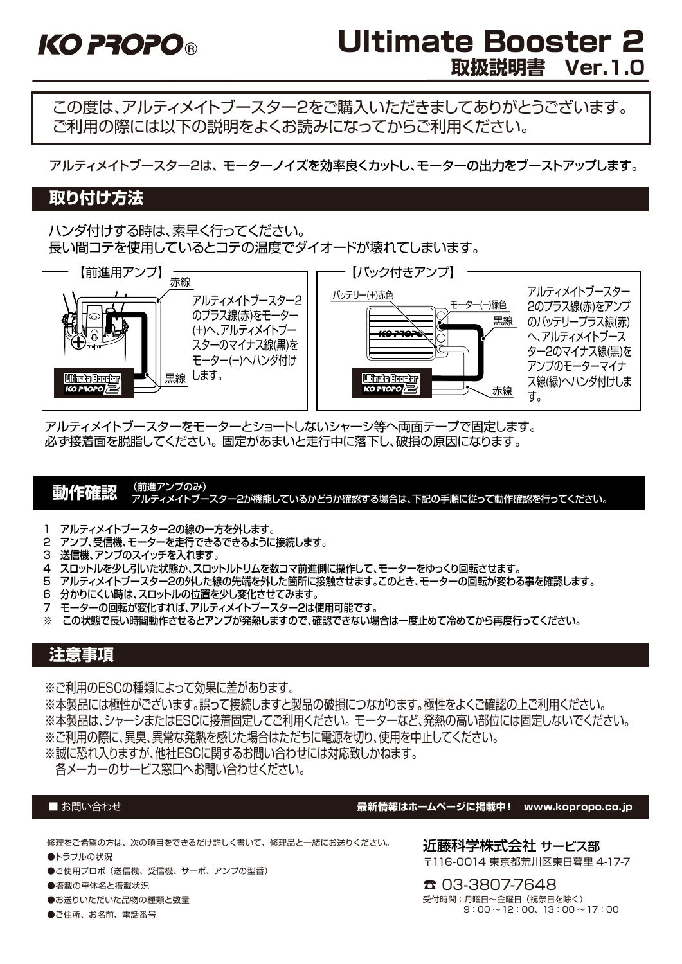# Ultimate Booster 2 **取扱説明書 Ver.1.0**

この度は、アルティメイトブースター2をご購入いただきましてありがとうございます。 ご利用の際には以下の説明をよくお読みになってからご利用ください。

アルティメイトブースター2は、 モーターノイズを効率良くカットし、モーターの出力をブーストアップします。

# **取り付け方法**

ハンダ付けする時は、素早く行ってください。 長い間コテを使用しているとコテの温度でダイオードが壊れてしまいます。



アルティメイトブースターをモーターとショートしないシャーシ等へ両面テープで固定します。 必ず接着面を脱脂してください。 固定があまいと走行中に落下し、破損の原因になります。

#### **動作確認** (<sup>前進アンプのみ)</sup> アルティメイトブースター2が機能しているかどうか確認する場合は、下記の手順に従って動作確認を行ってください。

- 1 アルティメイトブースター2の線の一方を外します。
- 2 アンプ、受信機、モーターを走行できるできるように接続します。
- 3 送信機、アンプのスイッチを入れます。
- 4 スロットルを少し引いた状態か、スロットルトリムを数コマ前進側に操作して、モーターをゆっくり回転させます。
- 5 アルティメイトブースター2の外した線の先端を外した箇所に接触させます。このとき、モーターの回転が変わる事を確認します。
- 6 分かりにくい時は、スロットルの位置を少し変化させてみます。
- 7 モーターの回転が変化すれば、アルティメイトブースター2は使用可能です。
- ※ この状態で長い時間動作させるとアンプが発熱しますので、確認できない場合は一度止めて冷めてから再度行ってください。

# **注意事項**

※ご利用のESCの種類によって効果に差があります。

※本製品には極性がございます。誤って接続しますと製品の破損につながります。極性をよくご確認の上ご利用ください。 ※本製品は、シャーシまたはESCに接着固定してご利用ください。 モーターなど、発熱の高い部位には固定しないでください。 ※ご利用の際に、異臭、異常な発熱を感じた場合はただちに電源を切り、使用を中止してください。 ※誠に恐れ入りますが、他社ESCに関するお問い合わせには対応致しかねます。

各メーカーのサービス窓口へお問い合わせください。

#### ■お問い合わせ

修理をご希望の方は、次の項目をできるだけ詳しく書いて、修理品と一緒にお送りください。

- ●トラブルの状況
- ●ご使用プロポ(送信機、受信機、サーボ、アンプの型番)
- ●搭載の車体名と搭載状況
- ●お送りいただいた品物の種類と数量
- ●ご住所、お名前、電話番号

**最新情報はホームページに掲載中! www.kopropo.co.jp**

近藤科学株式会社 サービス部 〒116-0014 東京都荒川区東日暮里 4-17-7

☎ 03-3807-7648 受付時間:月曜日~金曜日(祝祭日を除く)  $9:00 \sim 12:00, 13:00 \sim 17:00$